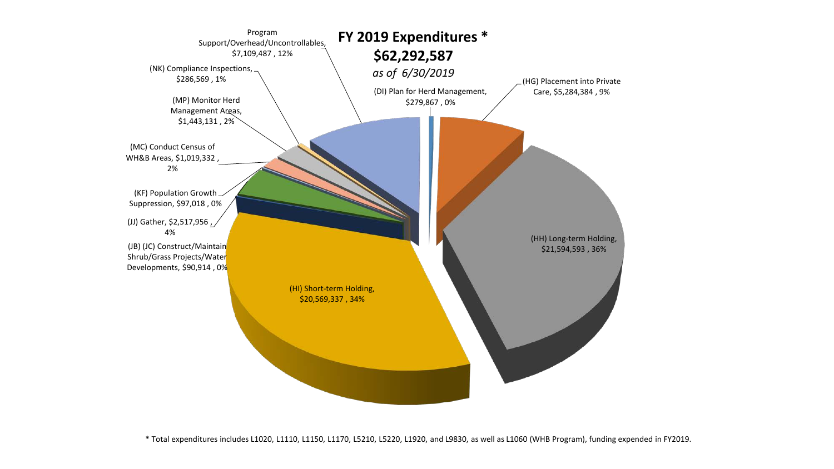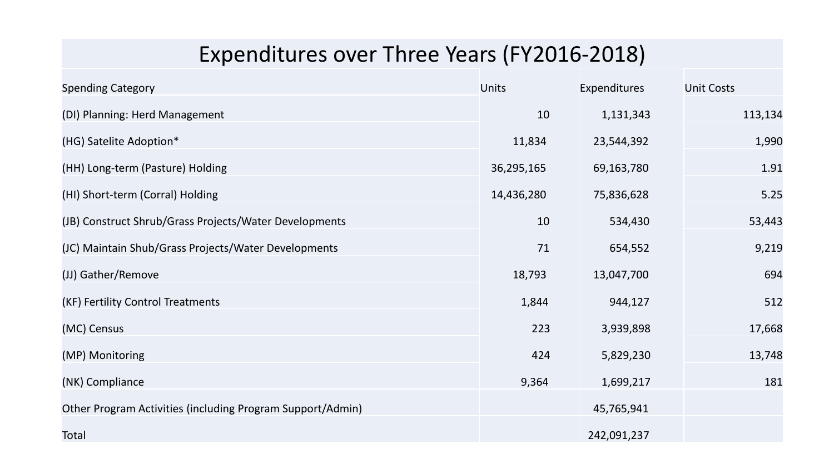## Expenditures over Three Years (FY2016-2018)

| <b>Spending Category</b>                                   | <b>Units</b> | Expenditures | <b>Unit Costs</b> |
|------------------------------------------------------------|--------------|--------------|-------------------|
| (DI) Planning: Herd Management                             | 10           | 1,131,343    | 113,134           |
| (HG) Satelite Adoption*                                    | 11,834       | 23,544,392   | 1,990             |
| (HH) Long-term (Pasture) Holding                           | 36,295,165   | 69,163,780   | 1.91              |
| (HI) Short-term (Corral) Holding                           | 14,436,280   | 75,836,628   | 5.25              |
| (JB) Construct Shrub/Grass Projects/Water Developments     | 10           | 534,430      | 53,443            |
| (JC) Maintain Shub/Grass Projects/Water Developments       | 71           | 654,552      | 9,219             |
| (JJ) Gather/Remove                                         | 18,793       | 13,047,700   | 694               |
| (KF) Fertility Control Treatments                          | 1,844        | 944,127      | 512               |
| (MC) Census                                                | 223          | 3,939,898    | 17,668            |
| (MP) Monitoring                                            | 424          | 5,829,230    | 13,748            |
| (NK) Compliance                                            | 9,364        | 1,699,217    | 181               |
| Other Program Activities (including Program Support/Admin) |              | 45,765,941   |                   |
| Total                                                      |              | 242,091,237  |                   |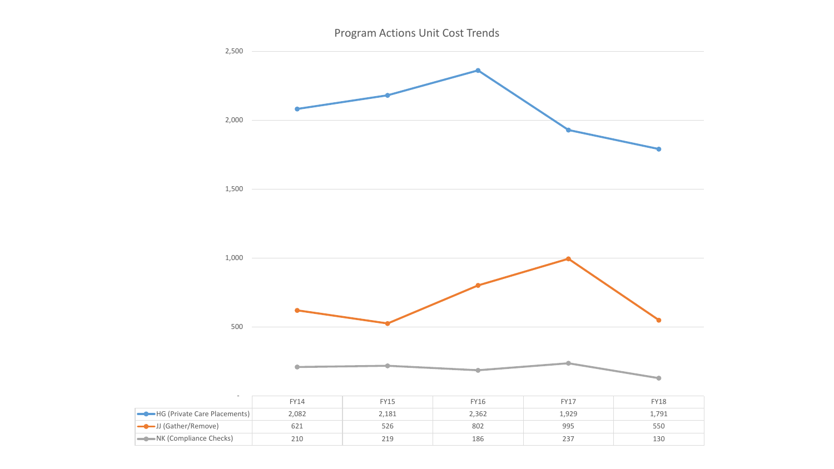